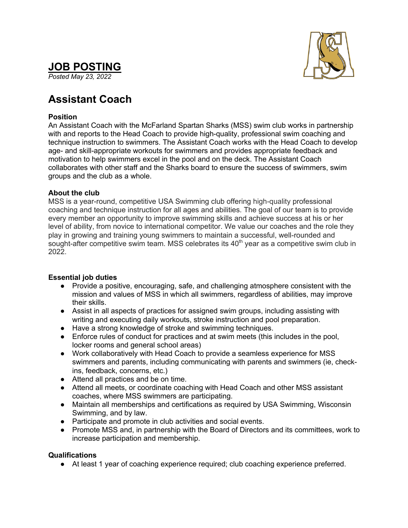# **JOB POSTING**

*Posted May 23, 2022*



## **Assistant Coach**

### **Position**

An Assistant Coach with the McFarland Spartan Sharks (MSS) swim club works in partnership with and reports to the Head Coach to provide high-quality, professional swim coaching and technique instruction to swimmers. The Assistant Coach works with the Head Coach to develop age- and skill-appropriate workouts for swimmers and provides appropriate feedback and motivation to help swimmers excel in the pool and on the deck. The Assistant Coach collaborates with other staff and the Sharks board to ensure the success of swimmers, swim groups and the club as a whole.

#### **About the club**

MSS is a year-round, competitive USA Swimming club offering high-quality professional coaching and technique instruction for all ages and abilities. The goal of our team is to provide every member an opportunity to improve swimming skills and achieve success at his or her level of ability, from novice to international competitor. We value our coaches and the role they play in growing and training young swimmers to maintain a successful, well-rounded and sought-after competitive swim team. MSS celebrates its  $40<sup>th</sup>$  year as a competitive swim club in 2022.

### **Essential job duties**

- Provide a positive, encouraging, safe, and challenging atmosphere consistent with the mission and values of MSS in which all swimmers, regardless of abilities, may improve their skills.
- Assist in all aspects of practices for assigned swim groups, including assisting with writing and executing daily workouts, stroke instruction and pool preparation.
- Have a strong knowledge of stroke and swimming techniques.
- Enforce rules of conduct for practices and at swim meets (this includes in the pool, locker rooms and general school areas)
- Work collaboratively with Head Coach to provide a seamless experience for MSS swimmers and parents, including communicating with parents and swimmers (ie, checkins, feedback, concerns, etc.)
- Attend all practices and be on time.
- Attend all meets, or coordinate coaching with Head Coach and other MSS assistant coaches, where MSS swimmers are participating.
- Maintain all memberships and certifications as required by USA Swimming, Wisconsin Swimming, and by law.
- Participate and promote in club activities and social events.
- Promote MSS and, in partnership with the Board of Directors and its committees, work to increase participation and membership.

### **Qualifications**

● At least 1 year of coaching experience required; club coaching experience preferred.